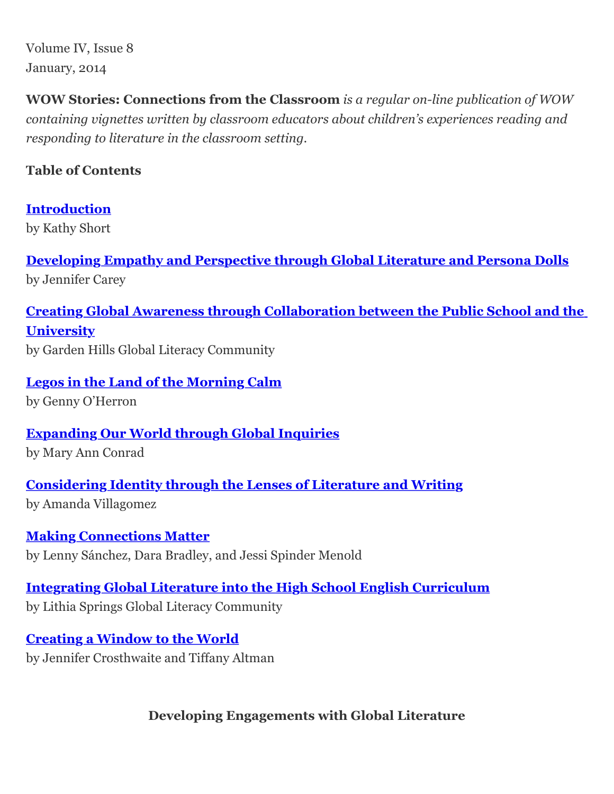Volume IV, Issue 8 January, 2014

**WOW Stories: Connections from the Classroom** *is a regular on-line publication of WOW containing vignettes written by classroom educators about children's experiences reading and responding to literature in the classroom setting.*

## **Table of Contents**

**[Introduction](http://wowlit.org/on-line-publications/storiesiv8/2)** by Kathy Short

**[Developing Empathy and Perspective through Global Literature and Persona Dolls](http://wowlit.org/on-line-publications/storiesiv8/3)** by Jennifer Carey

**[Creating Global Awareness through Collaboration between the Public School and the](http://wowlit.org/on-line-publications/storiesiv8/4) University** by Garden Hills Global Literacy Community

**[Legos in the Land of the Morning Calm](http://wowlit.org/on-line-publications/storiesiv8/5)** by Genny O'Herron

**[Expanding Our World through Global Inquiries](http://wowlit.org/on-line-publications/storiesiv8/6)** by Mary Ann Conrad

**[Considering Identity through the Lenses of Literature and Writing](http://wowlit.org/on-line-publications/storiesiv8/7)** by Amanda Villagomez

**[Making Connections Matter](http://wowlit.org/on-line-publications/storiesiv8/8)** by Lenny Sánchez, Dara Bradley, and Jessi Spinder Menold

**[Integrating Global Literature into the High School English Curriculum](http://wowlit.org/on-line-publications/storiesiv8/9)** by Lithia Springs Global Literacy Community

**[Creating a Window to the World](http://wowlit.org/on-line-publications/storiesiv8/10)** by Jennifer Crosthwaite and Tiffany Altman

**Developing Engagements with Global Literature**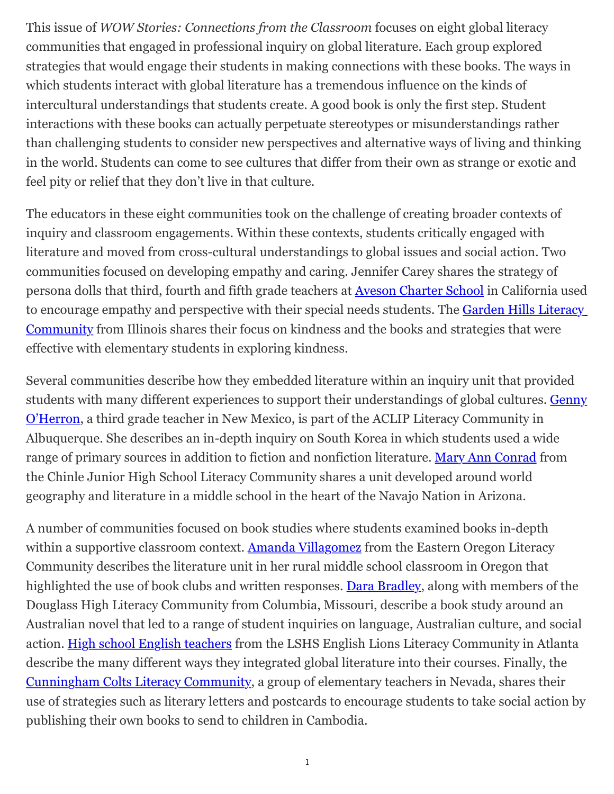This issue of *WOW Stories: Connections from the Classroom* focuses on eight global literacy communities that engaged in professional inquiry on global literature. Each group explored strategies that would engage their students in making connections with these books. The ways in which students interact with global literature has a tremendous influence on the kinds of intercultural understandings that students create. A good book is only the first step. Student interactions with these books can actually perpetuate stereotypes or misunderstandings rather than challenging students to consider new perspectives and alternative ways of living and thinking in the world. Students can come to see cultures that differ from their own as strange or exotic and feel pity or relief that they don't live in that culture.

The educators in these eight communities took on the challenge of creating broader contexts of inquiry and classroom engagements. Within these contexts, students critically engaged with literature and moved from cross-cultural understandings to global issues and social action. Two communities focused on developing empathy and caring. Jennifer Carey shares the strategy of persona dolls that third, fourth and fifth grade teachers at [Aveson Charter School](http://wowlit.org/on-line-publications/storiesiv8/3) in California used [to encourage empathy and perspective with their special needs students. The Garden Hills Literacy](http://wowlit.org/on-line-publications/storiesiv8/4) Community from Illinois shares their focus on kindness and the books and strategies that were effective with elementary students in exploring kindness.

Several communities describe how they embedded literature within an inquiry unit that provided [students with many different experiences to support their understandings of global cultures. Genny](http://wowlit.org/on-line-publications/storiesiv8/5) O'Herron, a third grade teacher in New Mexico, is part of the ACLIP Literacy Community in Albuquerque. She describes an in-depth inquiry on South Korea in which students used a wide range of primary sources in addition to fiction and nonfiction literature. [Mary Ann Conrad](http://wowlit.org/on-line-publications/storiesiv8/6) from the Chinle Junior High School Literacy Community shares a unit developed around world geography and literature in a middle school in the heart of the Navajo Nation in Arizona.

A number of communities focused on book studies where students examined books in-depth within a supportive classroom context. [Amanda Villagomez](http://wowlit.org/on-line-publications/storiesiv8/7) from the Eastern Oregon Literacy Community describes the literature unit in her rural middle school classroom in Oregon that highlighted the use of book clubs and written responses. [Dara Bradley](http://wowlit.org/on-line-publications/storiesiv8/8), along with members of the Douglass High Literacy Community from Columbia, Missouri, describe a book study around an Australian novel that led to a range of student inquiries on language, Australian culture, and social action. [High school English teachers](http://wowlit.org/on-line-publications/storiesiv8/9) from the LSHS English Lions Literacy Community in Atlanta describe the many different ways they integrated global literature into their courses. Finally, the [Cunningham Colts Literacy Community,](http://wowlit.org/on-line-publications/storiesiv8/10) a group of elementary teachers in Nevada, shares their use of strategies such as literary letters and postcards to encourage students to take social action by publishing their own books to send to children in Cambodia.